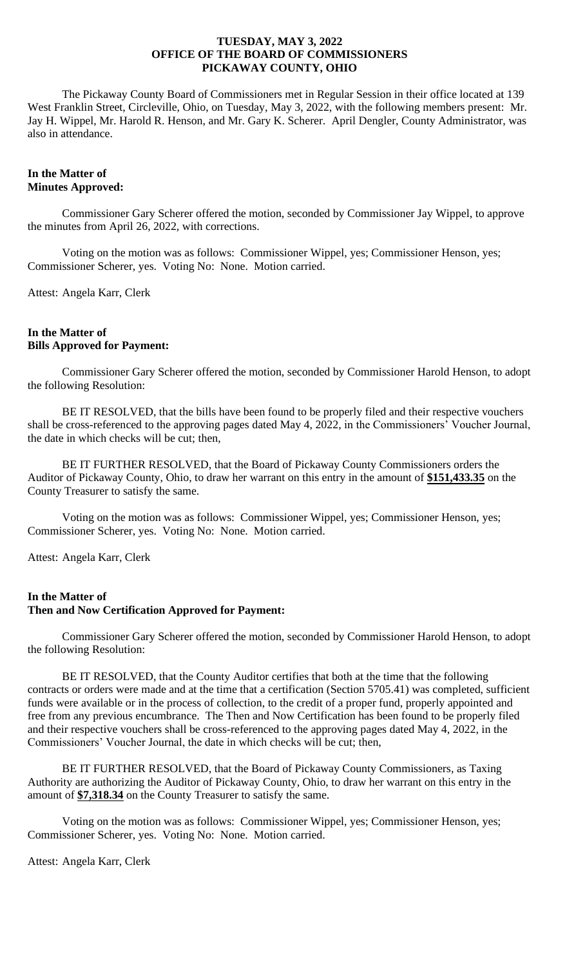The Pickaway County Board of Commissioners met in Regular Session in their office located at 139 West Franklin Street, Circleville, Ohio, on Tuesday, May 3, 2022, with the following members present: Mr. Jay H. Wippel, Mr. Harold R. Henson, and Mr. Gary K. Scherer. April Dengler, County Administrator, was also in attendance.

# **In the Matter of Minutes Approved:**

Commissioner Gary Scherer offered the motion, seconded by Commissioner Jay Wippel, to approve the minutes from April 26, 2022, with corrections.

Voting on the motion was as follows: Commissioner Wippel, yes; Commissioner Henson, yes; Commissioner Scherer, yes. Voting No: None. Motion carried.

Attest: Angela Karr, Clerk

# **In the Matter of Bills Approved for Payment:**

Commissioner Gary Scherer offered the motion, seconded by Commissioner Harold Henson, to adopt the following Resolution:

BE IT RESOLVED, that the bills have been found to be properly filed and their respective vouchers shall be cross-referenced to the approving pages dated May 4, 2022, in the Commissioners' Voucher Journal, the date in which checks will be cut; then,

BE IT FURTHER RESOLVED, that the Board of Pickaway County Commissioners orders the Auditor of Pickaway County, Ohio, to draw her warrant on this entry in the amount of **\$151,433.35** on the County Treasurer to satisfy the same.

Voting on the motion was as follows: Commissioner Wippel, yes; Commissioner Henson, yes; Commissioner Scherer, yes. Voting No: None. Motion carried.

Attest: Angela Karr, Clerk

### **In the Matter of Then and Now Certification Approved for Payment:**

Commissioner Gary Scherer offered the motion, seconded by Commissioner Harold Henson, to adopt the following Resolution:

BE IT RESOLVED, that the County Auditor certifies that both at the time that the following contracts or orders were made and at the time that a certification (Section 5705.41) was completed, sufficient funds were available or in the process of collection, to the credit of a proper fund, properly appointed and free from any previous encumbrance. The Then and Now Certification has been found to be properly filed and their respective vouchers shall be cross-referenced to the approving pages dated May 4, 2022, in the Commissioners' Voucher Journal, the date in which checks will be cut; then,

BE IT FURTHER RESOLVED, that the Board of Pickaway County Commissioners, as Taxing Authority are authorizing the Auditor of Pickaway County, Ohio, to draw her warrant on this entry in the amount of **\$7,318.34** on the County Treasurer to satisfy the same.

Voting on the motion was as follows: Commissioner Wippel, yes; Commissioner Henson, yes; Commissioner Scherer, yes. Voting No: None. Motion carried.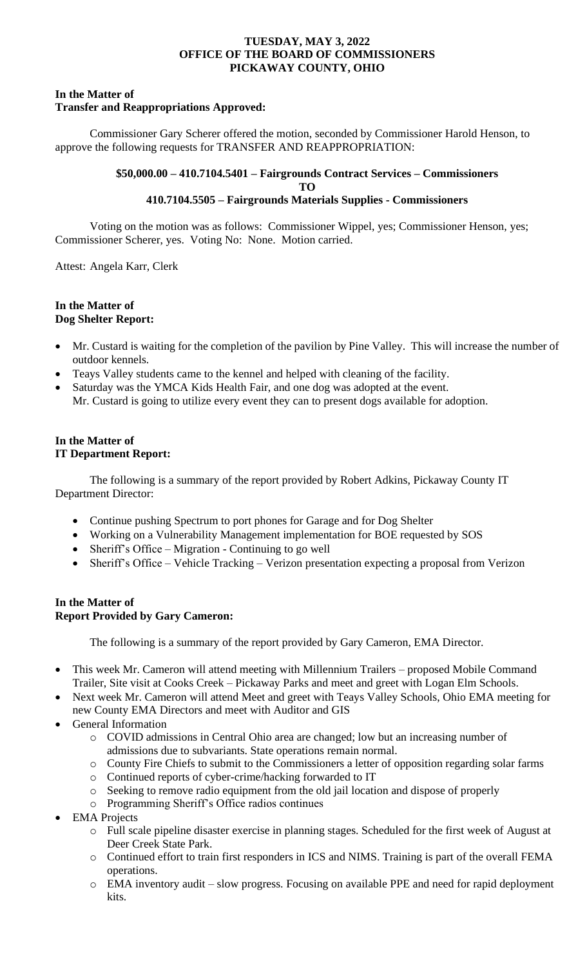### **In the Matter of Transfer and Reappropriations Approved:**

Commissioner Gary Scherer offered the motion, seconded by Commissioner Harold Henson, to approve the following requests for TRANSFER AND REAPPROPRIATION:

# **\$50,000.00 – 410.7104.5401 – Fairgrounds Contract Services – Commissioners TO 410.7104.5505 – Fairgrounds Materials Supplies - Commissioners**

Voting on the motion was as follows: Commissioner Wippel, yes; Commissioner Henson, yes; Commissioner Scherer, yes. Voting No: None. Motion carried.

Attest: Angela Karr, Clerk

# **In the Matter of Dog Shelter Report:**

- Mr. Custard is waiting for the completion of the pavilion by Pine Valley. This will increase the number of outdoor kennels.
- Teays Valley students came to the kennel and helped with cleaning of the facility.
- Saturday was the YMCA Kids Health Fair, and one dog was adopted at the event. Mr. Custard is going to utilize every event they can to present dogs available for adoption.

# **In the Matter of IT Department Report:**

The following is a summary of the report provided by Robert Adkins, Pickaway County IT Department Director:

- Continue pushing Spectrum to port phones for Garage and for Dog Shelter
- Working on a Vulnerability Management implementation for BOE requested by SOS
- Sheriff's Office Migration Continuing to go well
- Sheriff's Office Vehicle Tracking Verizon presentation expecting a proposal from Verizon

# **In the Matter of Report Provided by Gary Cameron:**

The following is a summary of the report provided by Gary Cameron, EMA Director.

- This week Mr. Cameron will attend meeting with Millennium Trailers proposed Mobile Command Trailer, Site visit at Cooks Creek – Pickaway Parks and meet and greet with Logan Elm Schools.
- Next week Mr. Cameron will attend Meet and greet with Teays Valley Schools, Ohio EMA meeting for new County EMA Directors and meet with Auditor and GIS
- General Information
	- o COVID admissions in Central Ohio area are changed; low but an increasing number of admissions due to subvariants. State operations remain normal.
	- o County Fire Chiefs to submit to the Commissioners a letter of opposition regarding solar farms
	- o Continued reports of cyber-crime/hacking forwarded to IT
	- o Seeking to remove radio equipment from the old jail location and dispose of properly
	- o Programming Sheriff's Office radios continues
- EMA Projects
	- o Full scale pipeline disaster exercise in planning stages. Scheduled for the first week of August at Deer Creek State Park.
	- o Continued effort to train first responders in ICS and NIMS. Training is part of the overall FEMA operations.
	- o EMA inventory audit slow progress. Focusing on available PPE and need for rapid deployment kits.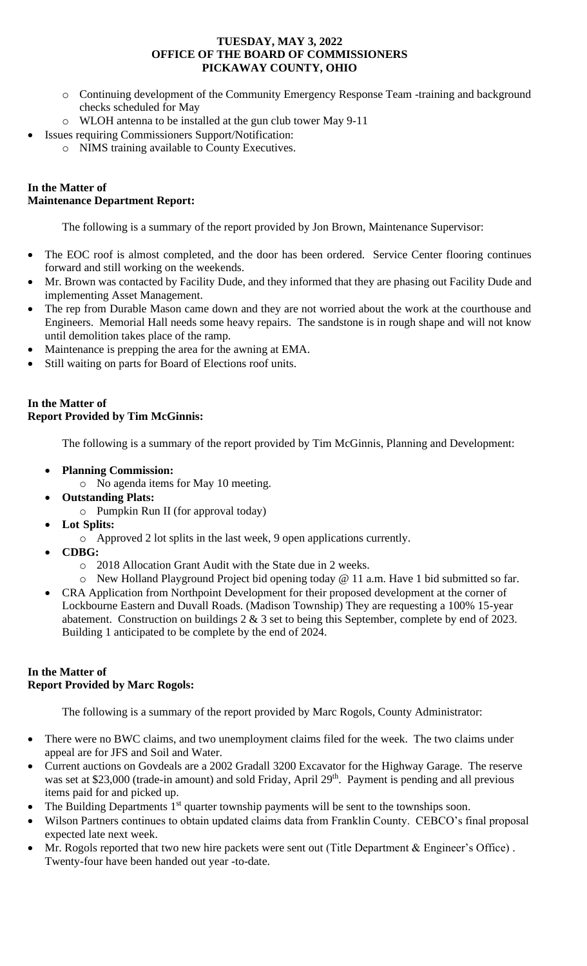- o Continuing development of the Community Emergency Response Team -training and background checks scheduled for May
- o WLOH antenna to be installed at the gun club tower May 9-11
- **Issues requiring Commissioners Support/Notification:** 
	- o NIMS training available to County Executives.

# **In the Matter of Maintenance Department Report:**

The following is a summary of the report provided by Jon Brown, Maintenance Supervisor:

- The EOC roof is almost completed, and the door has been ordered. Service Center flooring continues forward and still working on the weekends.
- Mr. Brown was contacted by Facility Dude, and they informed that they are phasing out Facility Dude and implementing Asset Management.
- The rep from Durable Mason came down and they are not worried about the work at the courthouse and Engineers. Memorial Hall needs some heavy repairs. The sandstone is in rough shape and will not know until demolition takes place of the ramp.
- Maintenance is prepping the area for the awning at EMA.
- Still waiting on parts for Board of Elections roof units.

# **In the Matter of Report Provided by Tim McGinnis:**

The following is a summary of the report provided by Tim McGinnis, Planning and Development:

- **Planning Commission:** 
	- o No agenda items for May 10 meeting.
- **Outstanding Plats:**
	- o Pumpkin Run II (for approval today)
- **Lot Splits:**
	- o Approved 2 lot splits in the last week, 9 open applications currently.
- **CDBG:** 
	- o 2018 Allocation Grant Audit with the State due in 2 weeks.
	- o New Holland Playground Project bid opening today @ 11 a.m. Have 1 bid submitted so far.
- CRA Application from Northpoint Development for their proposed development at the corner of Lockbourne Eastern and Duvall Roads. (Madison Township) They are requesting a 100% 15-year abatement. Construction on buildings 2 & 3 set to being this September, complete by end of 2023. Building 1 anticipated to be complete by the end of 2024.

# **In the Matter of Report Provided by Marc Rogols:**

The following is a summary of the report provided by Marc Rogols, County Administrator:

- There were no BWC claims, and two unemployment claims filed for the week. The two claims under appeal are for JFS and Soil and Water.
- Current auctions on Govdeals are a 2002 Gradall 3200 Excavator for the Highway Garage. The reserve was set at \$23,000 (trade-in amount) and sold Friday, April 29<sup>th</sup>. Payment is pending and all previous items paid for and picked up.
- The Building Departments  $1<sup>st</sup>$  quarter township payments will be sent to the townships soon.
- Wilson Partners continues to obtain updated claims data from Franklin County. CEBCO's final proposal expected late next week.
- Mr. Rogols reported that two new hire packets were sent out (Title Department & Engineer's Office) . Twenty-four have been handed out year -to-date.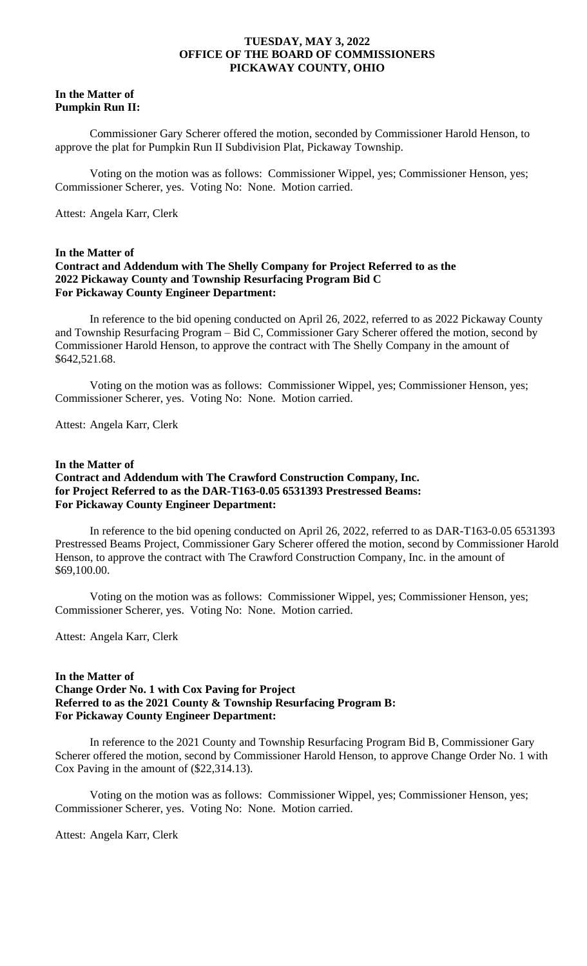#### **In the Matter of Pumpkin Run II:**

Commissioner Gary Scherer offered the motion, seconded by Commissioner Harold Henson, to approve the plat for Pumpkin Run II Subdivision Plat, Pickaway Township.

Voting on the motion was as follows: Commissioner Wippel, yes; Commissioner Henson, yes; Commissioner Scherer, yes. Voting No: None. Motion carried.

Attest: Angela Karr, Clerk

#### **In the Matter of**

## **Contract and Addendum with The Shelly Company for Project Referred to as the 2022 Pickaway County and Township Resurfacing Program Bid C For Pickaway County Engineer Department:**

In reference to the bid opening conducted on April 26, 2022, referred to as 2022 Pickaway County and Township Resurfacing Program – Bid C, Commissioner Gary Scherer offered the motion, second by Commissioner Harold Henson, to approve the contract with The Shelly Company in the amount of \$642,521.68.

Voting on the motion was as follows: Commissioner Wippel, yes; Commissioner Henson, yes; Commissioner Scherer, yes. Voting No: None. Motion carried.

Attest: Angela Karr, Clerk

# **In the Matter of Contract and Addendum with The Crawford Construction Company, Inc. for Project Referred to as the DAR-T163-0.05 6531393 Prestressed Beams: For Pickaway County Engineer Department:**

In reference to the bid opening conducted on April 26, 2022, referred to as DAR-T163-0.05 6531393 Prestressed Beams Project, Commissioner Gary Scherer offered the motion, second by Commissioner Harold Henson, to approve the contract with The Crawford Construction Company, Inc. in the amount of \$69,100.00.

Voting on the motion was as follows: Commissioner Wippel, yes; Commissioner Henson, yes; Commissioner Scherer, yes. Voting No: None. Motion carried.

Attest: Angela Karr, Clerk

#### **In the Matter of**

# **Change Order No. 1 with Cox Paving for Project Referred to as the 2021 County & Township Resurfacing Program B: For Pickaway County Engineer Department:**

In reference to the 2021 County and Township Resurfacing Program Bid B, Commissioner Gary Scherer offered the motion, second by Commissioner Harold Henson, to approve Change Order No. 1 with Cox Paving in the amount of (\$22,314.13).

Voting on the motion was as follows: Commissioner Wippel, yes; Commissioner Henson, yes; Commissioner Scherer, yes. Voting No: None. Motion carried.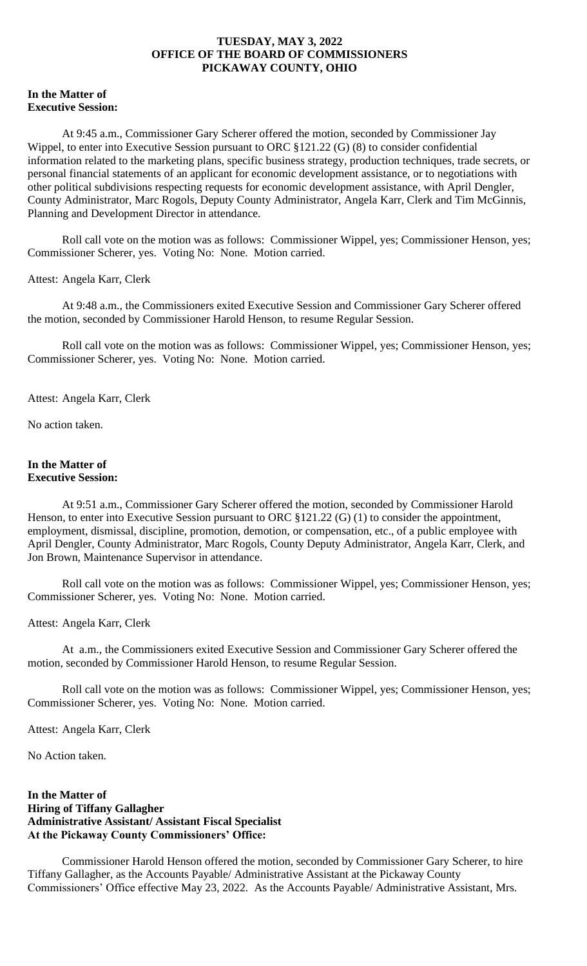# **In the Matter of Executive Session:**

At 9:45 a.m., Commissioner Gary Scherer offered the motion, seconded by Commissioner Jay Wippel, to enter into Executive Session pursuant to ORC §121.22 (G) (8) to consider confidential information related to the marketing plans, specific business strategy, production techniques, trade secrets, or personal financial statements of an applicant for economic development assistance, or to negotiations with other political subdivisions respecting requests for economic development assistance, with April Dengler, County Administrator, Marc Rogols, Deputy County Administrator, Angela Karr, Clerk and Tim McGinnis, Planning and Development Director in attendance.

Roll call vote on the motion was as follows: Commissioner Wippel, yes; Commissioner Henson, yes; Commissioner Scherer, yes. Voting No: None. Motion carried.

# Attest: Angela Karr, Clerk

At 9:48 a.m., the Commissioners exited Executive Session and Commissioner Gary Scherer offered the motion, seconded by Commissioner Harold Henson, to resume Regular Session.

Roll call vote on the motion was as follows: Commissioner Wippel, yes; Commissioner Henson, yes; Commissioner Scherer, yes. Voting No: None. Motion carried.

Attest: Angela Karr, Clerk

No action taken.

#### **In the Matter of Executive Session:**

At 9:51 a.m., Commissioner Gary Scherer offered the motion, seconded by Commissioner Harold Henson, to enter into Executive Session pursuant to ORC  $$121.22$  (G) (1) to consider the appointment, employment, dismissal, discipline, promotion, demotion, or compensation, etc., of a public employee with April Dengler, County Administrator, Marc Rogols, County Deputy Administrator, Angela Karr, Clerk, and Jon Brown, Maintenance Supervisor in attendance.

Roll call vote on the motion was as follows: Commissioner Wippel, yes; Commissioner Henson, yes; Commissioner Scherer, yes. Voting No: None. Motion carried.

Attest: Angela Karr, Clerk

At a.m., the Commissioners exited Executive Session and Commissioner Gary Scherer offered the motion, seconded by Commissioner Harold Henson, to resume Regular Session.

Roll call vote on the motion was as follows: Commissioner Wippel, yes; Commissioner Henson, yes; Commissioner Scherer, yes. Voting No: None. Motion carried.

Attest: Angela Karr, Clerk

No Action taken.

# **In the Matter of Hiring of Tiffany Gallagher Administrative Assistant/ Assistant Fiscal Specialist At the Pickaway County Commissioners' Office:**

Commissioner Harold Henson offered the motion, seconded by Commissioner Gary Scherer, to hire Tiffany Gallagher, as the Accounts Payable/ Administrative Assistant at the Pickaway County Commissioners' Office effective May 23, 2022. As the Accounts Payable/ Administrative Assistant, Mrs.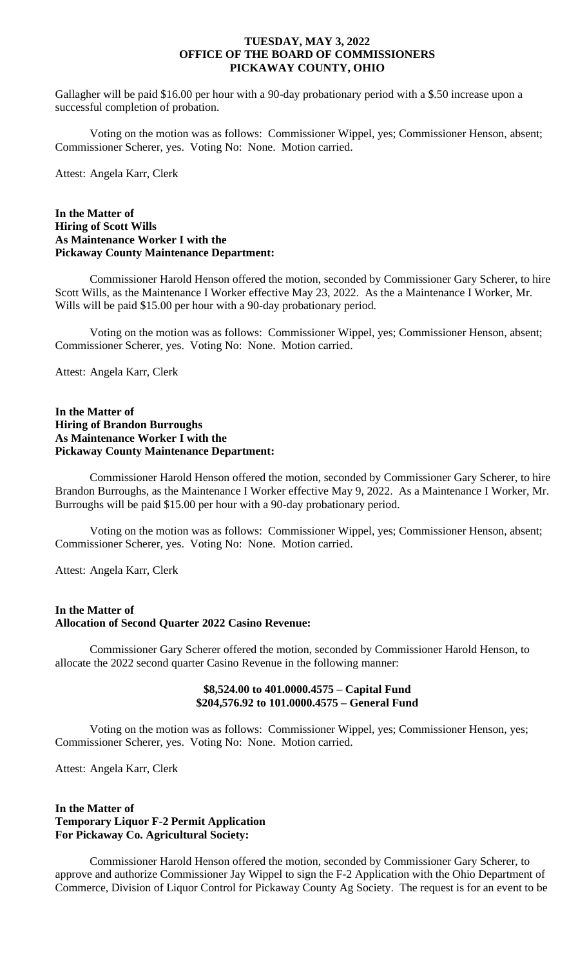Gallagher will be paid \$16.00 per hour with a 90-day probationary period with a \$.50 increase upon a successful completion of probation.

Voting on the motion was as follows: Commissioner Wippel, yes; Commissioner Henson, absent; Commissioner Scherer, yes. Voting No: None. Motion carried.

Attest: Angela Karr, Clerk

### **In the Matter of Hiring of Scott Wills As Maintenance Worker I with the Pickaway County Maintenance Department:**

Commissioner Harold Henson offered the motion, seconded by Commissioner Gary Scherer, to hire Scott Wills, as the Maintenance I Worker effective May 23, 2022. As the a Maintenance I Worker, Mr. Wills will be paid \$15.00 per hour with a 90-day probationary period.

Voting on the motion was as follows: Commissioner Wippel, yes; Commissioner Henson, absent; Commissioner Scherer, yes. Voting No: None. Motion carried.

Attest: Angela Karr, Clerk

# **In the Matter of Hiring of Brandon Burroughs As Maintenance Worker I with the Pickaway County Maintenance Department:**

Commissioner Harold Henson offered the motion, seconded by Commissioner Gary Scherer, to hire Brandon Burroughs, as the Maintenance I Worker effective May 9, 2022. As a Maintenance I Worker, Mr. Burroughs will be paid \$15.00 per hour with a 90-day probationary period.

Voting on the motion was as follows: Commissioner Wippel, yes; Commissioner Henson, absent; Commissioner Scherer, yes. Voting No: None. Motion carried.

Attest: Angela Karr, Clerk

# **In the Matter of Allocation of Second Quarter 2022 Casino Revenue:**

Commissioner Gary Scherer offered the motion, seconded by Commissioner Harold Henson, to allocate the 2022 second quarter Casino Revenue in the following manner:

# **\$8,524.00 to 401.0000.4575 – Capital Fund \$204,576.92 to 101.0000.4575 – General Fund**

Voting on the motion was as follows: Commissioner Wippel, yes; Commissioner Henson, yes; Commissioner Scherer, yes. Voting No: None. Motion carried.

Attest: Angela Karr, Clerk

# **In the Matter of Temporary Liquor F-2 Permit Application For Pickaway Co. Agricultural Society:**

Commissioner Harold Henson offered the motion, seconded by Commissioner Gary Scherer, to approve and authorize Commissioner Jay Wippel to sign the F-2 Application with the Ohio Department of Commerce, Division of Liquor Control for Pickaway County Ag Society. The request is for an event to be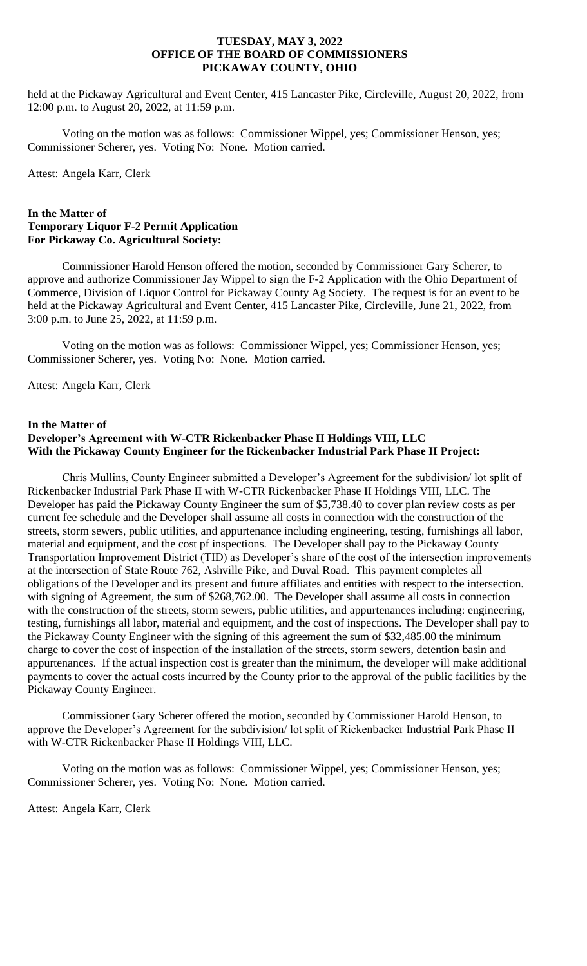held at the Pickaway Agricultural and Event Center, 415 Lancaster Pike, Circleville, August 20, 2022, from 12:00 p.m. to August 20, 2022, at 11:59 p.m.

Voting on the motion was as follows: Commissioner Wippel, yes; Commissioner Henson, yes; Commissioner Scherer, yes. Voting No: None. Motion carried.

Attest: Angela Karr, Clerk

# **In the Matter of Temporary Liquor F-2 Permit Application For Pickaway Co. Agricultural Society:**

Commissioner Harold Henson offered the motion, seconded by Commissioner Gary Scherer, to approve and authorize Commissioner Jay Wippel to sign the F-2 Application with the Ohio Department of Commerce, Division of Liquor Control for Pickaway County Ag Society. The request is for an event to be held at the Pickaway Agricultural and Event Center, 415 Lancaster Pike, Circleville, June 21, 2022, from 3:00 p.m. to June 25, 2022, at 11:59 p.m.

Voting on the motion was as follows: Commissioner Wippel, yes; Commissioner Henson, yes; Commissioner Scherer, yes. Voting No: None. Motion carried.

Attest: Angela Karr, Clerk

### **In the Matter of Developer's Agreement with W-CTR Rickenbacker Phase II Holdings VIII, LLC With the Pickaway County Engineer for the Rickenbacker Industrial Park Phase II Project:**

Chris Mullins, County Engineer submitted a Developer's Agreement for the subdivision/ lot split of Rickenbacker Industrial Park Phase II with W-CTR Rickenbacker Phase II Holdings VIII, LLC. The Developer has paid the Pickaway County Engineer the sum of \$5,738.40 to cover plan review costs as per current fee schedule and the Developer shall assume all costs in connection with the construction of the streets, storm sewers, public utilities, and appurtenance including engineering, testing, furnishings all labor, material and equipment, and the cost pf inspections. The Developer shall pay to the Pickaway County Transportation Improvement District (TID) as Developer's share of the cost of the intersection improvements at the intersection of State Route 762, Ashville Pike, and Duval Road. This payment completes all obligations of the Developer and its present and future affiliates and entities with respect to the intersection. with signing of Agreement, the sum of \$268,762.00. The Developer shall assume all costs in connection with the construction of the streets, storm sewers, public utilities, and appurtenances including: engineering, testing, furnishings all labor, material and equipment, and the cost of inspections. The Developer shall pay to the Pickaway County Engineer with the signing of this agreement the sum of \$32,485.00 the minimum charge to cover the cost of inspection of the installation of the streets, storm sewers, detention basin and appurtenances. If the actual inspection cost is greater than the minimum, the developer will make additional payments to cover the actual costs incurred by the County prior to the approval of the public facilities by the Pickaway County Engineer.

Commissioner Gary Scherer offered the motion, seconded by Commissioner Harold Henson, to approve the Developer's Agreement for the subdivision/ lot split of Rickenbacker Industrial Park Phase II with W-CTR Rickenbacker Phase II Holdings VIII, LLC.

Voting on the motion was as follows: Commissioner Wippel, yes; Commissioner Henson, yes; Commissioner Scherer, yes. Voting No: None. Motion carried.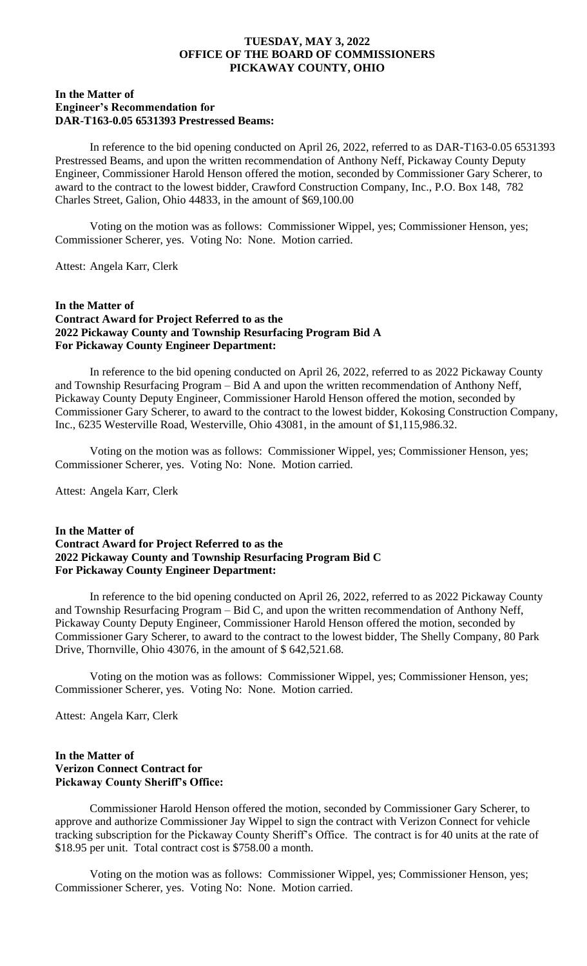# **In the Matter of Engineer's Recommendation for DAR-T163-0.05 6531393 Prestressed Beams:**

In reference to the bid opening conducted on April 26, 2022, referred to as DAR-T163-0.05 6531393 Prestressed Beams, and upon the written recommendation of Anthony Neff, Pickaway County Deputy Engineer, Commissioner Harold Henson offered the motion, seconded by Commissioner Gary Scherer, to award to the contract to the lowest bidder, Crawford Construction Company, Inc., P.O. Box 148, 782 Charles Street, Galion, Ohio 44833, in the amount of \$69,100.00

Voting on the motion was as follows: Commissioner Wippel, yes; Commissioner Henson, yes; Commissioner Scherer, yes. Voting No: None. Motion carried.

Attest: Angela Karr, Clerk

# **In the Matter of Contract Award for Project Referred to as the 2022 Pickaway County and Township Resurfacing Program Bid A For Pickaway County Engineer Department:**

In reference to the bid opening conducted on April 26, 2022, referred to as 2022 Pickaway County and Township Resurfacing Program – Bid A and upon the written recommendation of Anthony Neff, Pickaway County Deputy Engineer, Commissioner Harold Henson offered the motion, seconded by Commissioner Gary Scherer, to award to the contract to the lowest bidder, Kokosing Construction Company, Inc., 6235 Westerville Road, Westerville, Ohio 43081, in the amount of \$1,115,986.32.

Voting on the motion was as follows: Commissioner Wippel, yes; Commissioner Henson, yes; Commissioner Scherer, yes. Voting No: None. Motion carried.

Attest: Angela Karr, Clerk

# **In the Matter of Contract Award for Project Referred to as the 2022 Pickaway County and Township Resurfacing Program Bid C For Pickaway County Engineer Department:**

In reference to the bid opening conducted on April 26, 2022, referred to as 2022 Pickaway County and Township Resurfacing Program – Bid C, and upon the written recommendation of Anthony Neff, Pickaway County Deputy Engineer, Commissioner Harold Henson offered the motion, seconded by Commissioner Gary Scherer, to award to the contract to the lowest bidder, The Shelly Company, 80 Park Drive, Thornville, Ohio 43076, in the amount of \$ 642,521.68.

Voting on the motion was as follows: Commissioner Wippel, yes; Commissioner Henson, yes; Commissioner Scherer, yes. Voting No: None. Motion carried.

Attest: Angela Karr, Clerk

# **In the Matter of Verizon Connect Contract for Pickaway County Sheriff's Office:**

Commissioner Harold Henson offered the motion, seconded by Commissioner Gary Scherer, to approve and authorize Commissioner Jay Wippel to sign the contract with Verizon Connect for vehicle tracking subscription for the Pickaway County Sheriff's Office. The contract is for 40 units at the rate of \$18.95 per unit. Total contract cost is \$758.00 a month.

Voting on the motion was as follows: Commissioner Wippel, yes; Commissioner Henson, yes; Commissioner Scherer, yes. Voting No: None. Motion carried.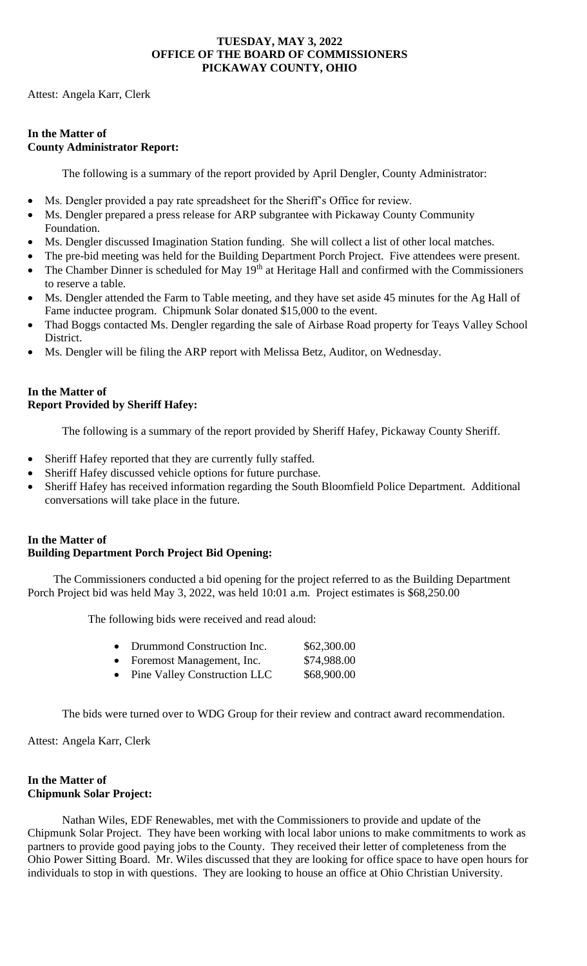Attest: Angela Karr, Clerk

# **In the Matter of County Administrator Report:**

The following is a summary of the report provided by April Dengler, County Administrator:

- Ms. Dengler provided a pay rate spreadsheet for the Sheriff's Office for review.
- Ms. Dengler prepared a press release for ARP subgrantee with Pickaway County Community Foundation.
- Ms. Dengler discussed Imagination Station funding. She will collect a list of other local matches.
- The pre-bid meeting was held for the Building Department Porch Project. Five attendees were present.
- The Chamber Dinner is scheduled for May 19<sup>th</sup> at Heritage Hall and confirmed with the Commissioners to reserve a table.
- Ms. Dengler attended the Farm to Table meeting, and they have set aside 45 minutes for the Ag Hall of Fame inductee program. Chipmunk Solar donated \$15,000 to the event.
- Thad Boggs contacted Ms. Dengler regarding the sale of Airbase Road property for Teays Valley School District.
- Ms. Dengler will be filing the ARP report with Melissa Betz, Auditor, on Wednesday.

# **In the Matter of Report Provided by Sheriff Hafey:**

The following is a summary of the report provided by Sheriff Hafey, Pickaway County Sheriff.

- Sheriff Hafey reported that they are currently fully staffed.
- Sheriff Hafey discussed vehicle options for future purchase.
- Sheriff Hafey has received information regarding the South Bloomfield Police Department. Additional conversations will take place in the future.

# **In the Matter of Building Department Porch Project Bid Opening:**

The Commissioners conducted a bid opening for the project referred to as the Building Department Porch Project bid was held May 3, 2022, was held 10:01 a.m. Project estimates is \$68,250.00

The following bids were received and read aloud:

| • Drummond Construction Inc. | \$62,300.00 |
|------------------------------|-------------|
|                              |             |

|  | Foremost Management, Inc. | \$74,988.00 |
|--|---------------------------|-------------|
|--|---------------------------|-------------|

• Pine Valley Construction LLC \$68,900.00

The bids were turned over to WDG Group for their review and contract award recommendation.

Attest: Angela Karr, Clerk

# **In the Matter of Chipmunk Solar Project:**

Nathan Wiles, EDF Renewables, met with the Commissioners to provide and update of the Chipmunk Solar Project. They have been working with local labor unions to make commitments to work as partners to provide good paying jobs to the County. They received their letter of completeness from the Ohio Power Sitting Board. Mr. Wiles discussed that they are looking for office space to have open hours for individuals to stop in with questions. They are looking to house an office at Ohio Christian University.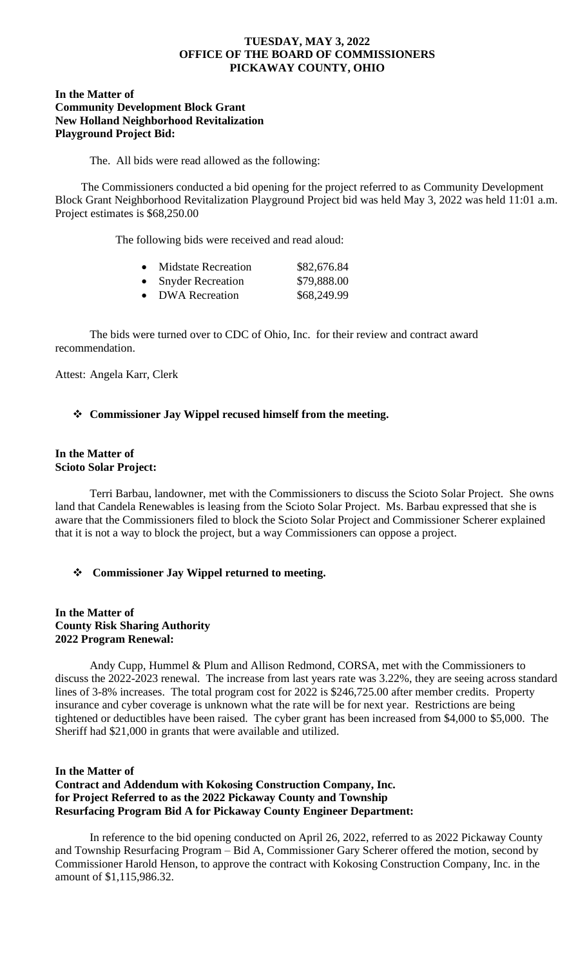### **In the Matter of Community Development Block Grant New Holland Neighborhood Revitalization Playground Project Bid:**

The. All bids were read allowed as the following:

The Commissioners conducted a bid opening for the project referred to as Community Development Block Grant Neighborhood Revitalization Playground Project bid was held May 3, 2022 was held 11:01 a.m. Project estimates is \$68,250.00

The following bids were received and read aloud:

| $\bullet$ | <b>Midstate Recreation</b> | \$82,676.84 |
|-----------|----------------------------|-------------|
| $\bullet$ | <b>Snyder Recreation</b>   | \$79,888.00 |
| $\bullet$ | <b>DWA</b> Recreation      | \$68,249.99 |

The bids were turned over to CDC of Ohio, Inc. for their review and contract award recommendation.

Attest: Angela Karr, Clerk

# ❖ **Commissioner Jay Wippel recused himself from the meeting.**

#### **In the Matter of Scioto Solar Project:**

Terri Barbau, landowner, met with the Commissioners to discuss the Scioto Solar Project. She owns land that Candela Renewables is leasing from the Scioto Solar Project. Ms. Barbau expressed that she is aware that the Commissioners filed to block the Scioto Solar Project and Commissioner Scherer explained that it is not a way to block the project, but a way Commissioners can oppose a project.

# ❖ **Commissioner Jay Wippel returned to meeting.**

# **In the Matter of County Risk Sharing Authority 2022 Program Renewal:**

Andy Cupp, Hummel & Plum and Allison Redmond, CORSA, met with the Commissioners to discuss the 2022-2023 renewal. The increase from last years rate was 3.22%, they are seeing across standard lines of 3-8% increases. The total program cost for 2022 is \$246,725.00 after member credits. Property insurance and cyber coverage is unknown what the rate will be for next year. Restrictions are being tightened or deductibles have been raised. The cyber grant has been increased from \$4,000 to \$5,000. The Sheriff had \$21,000 in grants that were available and utilized.

# **In the Matter of Contract and Addendum with Kokosing Construction Company, Inc. for Project Referred to as the 2022 Pickaway County and Township Resurfacing Program Bid A for Pickaway County Engineer Department:**

In reference to the bid opening conducted on April 26, 2022, referred to as 2022 Pickaway County and Township Resurfacing Program – Bid A, Commissioner Gary Scherer offered the motion, second by Commissioner Harold Henson, to approve the contract with Kokosing Construction Company, Inc. in the amount of \$1,115,986.32.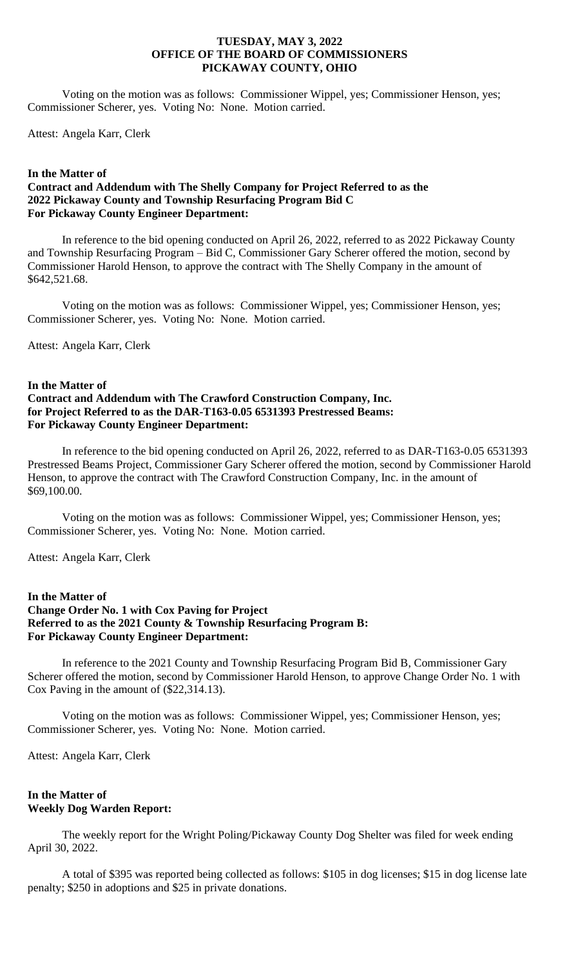Voting on the motion was as follows: Commissioner Wippel, yes; Commissioner Henson, yes; Commissioner Scherer, yes. Voting No: None. Motion carried.

Attest: Angela Karr, Clerk

#### **In the Matter of**

# **Contract and Addendum with The Shelly Company for Project Referred to as the 2022 Pickaway County and Township Resurfacing Program Bid C For Pickaway County Engineer Department:**

In reference to the bid opening conducted on April 26, 2022, referred to as 2022 Pickaway County and Township Resurfacing Program – Bid C, Commissioner Gary Scherer offered the motion, second by Commissioner Harold Henson, to approve the contract with The Shelly Company in the amount of \$642,521.68.

Voting on the motion was as follows: Commissioner Wippel, yes; Commissioner Henson, yes; Commissioner Scherer, yes. Voting No: None. Motion carried.

Attest: Angela Karr, Clerk

### **In the Matter of Contract and Addendum with The Crawford Construction Company, Inc. for Project Referred to as the DAR-T163-0.05 6531393 Prestressed Beams: For Pickaway County Engineer Department:**

In reference to the bid opening conducted on April 26, 2022, referred to as DAR-T163-0.05 6531393 Prestressed Beams Project, Commissioner Gary Scherer offered the motion, second by Commissioner Harold Henson, to approve the contract with The Crawford Construction Company, Inc. in the amount of \$69,100.00.

Voting on the motion was as follows: Commissioner Wippel, yes; Commissioner Henson, yes; Commissioner Scherer, yes. Voting No: None. Motion carried.

Attest: Angela Karr, Clerk

### **In the Matter of Change Order No. 1 with Cox Paving for Project Referred to as the 2021 County & Township Resurfacing Program B: For Pickaway County Engineer Department:**

In reference to the 2021 County and Township Resurfacing Program Bid B, Commissioner Gary Scherer offered the motion, second by Commissioner Harold Henson, to approve Change Order No. 1 with Cox Paving in the amount of (\$22,314.13).

Voting on the motion was as follows: Commissioner Wippel, yes; Commissioner Henson, yes; Commissioner Scherer, yes. Voting No: None. Motion carried.

Attest: Angela Karr, Clerk

# **In the Matter of Weekly Dog Warden Report:**

The weekly report for the Wright Poling/Pickaway County Dog Shelter was filed for week ending April 30, 2022.

A total of \$395 was reported being collected as follows: \$105 in dog licenses; \$15 in dog license late penalty; \$250 in adoptions and \$25 in private donations.